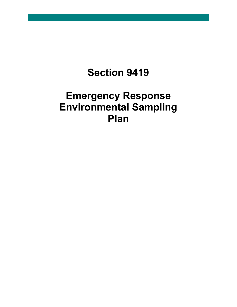## **Section 9419**

## **Emergency Response Environmental Sampling Plan**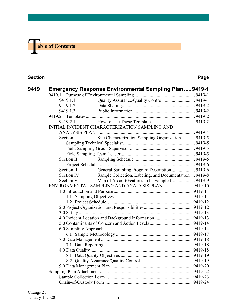# **The able of Contents**

#### **Section Page**

| 9419 |             | <b>Emergency Response Environmental Sampling Plan9419-1</b> |  |
|------|-------------|-------------------------------------------------------------|--|
|      | 9419.1.1    | Quality Assurance/Quality Control 9419-1                    |  |
|      | 9419.1.2    |                                                             |  |
|      | 9419.1.3    |                                                             |  |
|      |             |                                                             |  |
|      | 9419.2.1    |                                                             |  |
|      |             | INITIAL INCIDENT CHARACTERIZATION SAMPLING AND              |  |
|      |             |                                                             |  |
|      | Section I   | Site Characterization Sampling Organization 9419-5          |  |
|      |             |                                                             |  |
|      |             |                                                             |  |
|      |             |                                                             |  |
|      | Section II  |                                                             |  |
|      |             |                                                             |  |
|      | Section III | General Sampling Program Description  9419-6                |  |
|      | Section IV  | Sample Collection, Labeling, and Documentation  9419-8      |  |
|      | Section V   | Map of Area(s)/Features to be Sampled  9419-9               |  |
|      |             | ENVIRONMENTAL SAMPLING AND ANALYSIS PLAN 9419-10            |  |
|      |             |                                                             |  |
|      |             |                                                             |  |
|      |             |                                                             |  |
|      |             |                                                             |  |
|      |             |                                                             |  |
|      |             |                                                             |  |
|      |             |                                                             |  |
|      |             |                                                             |  |
|      |             |                                                             |  |
|      |             |                                                             |  |
|      |             |                                                             |  |
|      |             |                                                             |  |
|      |             |                                                             |  |
|      |             |                                                             |  |
|      |             |                                                             |  |
|      |             |                                                             |  |
|      |             |                                                             |  |
|      |             |                                                             |  |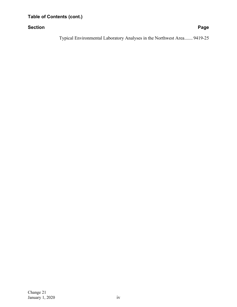#### **Section Page**

[Typical Environmental Laboratory Analyses in the Northwest Area.......](#page-27-0) 9419-25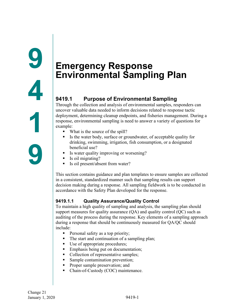### <span id="page-3-2"></span><span id="page-3-1"></span><span id="page-3-0"></span>**9419.1 Purpose of Environmental Sampling**

Through the collection and analysis of environmental samples, responders can uncover valuable data needed to inform decisions related to response tactic deployment, determining cleanup endpoints, and fisheries management. During a response, environmental sampling is need to answer a variety of questions for example:

- What is the source of the spill?
- Is the water body, surface or groundwater, of acceptable quality for drinking, swimming, irrigation, fish consumption, or a designated beneficial use?
- Is water quality improving or worsening?
- Is oil migrating?
- Is oil present/absent from water?

This section contains guidance and plan templates to ensure samples are collected in a consistent, standardized manner such that sampling results can support decision making during a response. All sampling fieldwork is to be conducted in accordance with the Safety Plan developed for the response.

#### <span id="page-3-3"></span>**9419.1.1 Quality Assurance/Quality Control**

To maintain a high quality of sampling and analysis, the sampling plan should support measures for quality assurance  $(QA)$  and quality control  $(QC)$  such as auditing of the process during the response. Key elements of a sampling approach during a response that should be continuously measured for QA/QC should include:

- Personal safety as a top priority;
- The start and continuation of a sampling plan;
- Use of appropriate procedures;
- **Emphasis being put on documentation;**
- Collection of representative samples;
- Sample contamination prevention;
- Proper sample preservation; and
- Chain-of-Custody (COC) maintenance.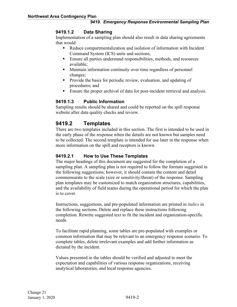#### <span id="page-4-0"></span>**9419.1.2 Data Sharing**

Implementation of a sampling plan should also result in data sharing agreements that would:

- Reduce compartmentalization and isolation of information with Incident Command System (ICS) units and sections;
- Ensure all parties understand responsibilities, methods, and resources available;
- Maintain information continuity over time regardless of personnel changes;
- **Provide the basis for periodic review, evaluation, and updating of** procedures; and
- Ensure the proper archival of data for post-incident retrieval and analysis.

#### <span id="page-4-1"></span>**9419.1.3 Public Information**

Sampling results should be shared and could be reported on the spill response website after data quality checks and review.

#### <span id="page-4-2"></span>**9419.2 Templates**

There are two templates included in this section. The first is intended to be used in the early phase of the response when the details are not known but samples need to be collected. The second template is intended for use later in the response when more information on the spill and receptors is known.

#### <span id="page-4-3"></span>**9419.2.1 How to Use These Templates**

The major headings of this document are suggested for the completion of a sampling plan. A sampling plan is not required to follow the formats suggested in the following suggestions; however, it should contain the content and detail commensurate to the scale (size or sensitivity/threat) of the response. Sampling plan templates may be customized to match organization structures, capabilities, and the availability of field teams during the operational period for which the plan is to cover.

Instructions, suggestions, and pre-populated information are printed in *italics* in the following sections. Delete and replace these instructions following completion. Rewrite suggested text to fit the incident and organization-specific needs.

To facilitate rapid planning, some tables are pre-populated with examples or common information that may be relevant to an emergency response scenario. To complete tables, delete irrelevant examples and add further information as dictated by the incident.

Values presented in the tables should be verified and adjusted to meet the expectation and capabilities of various response organizations, receiving analytical laboratories, and local response agencies.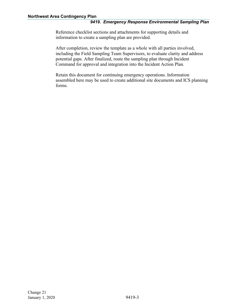Reference checklist sections and attachments for supporting details and information to create a sampling plan are provided.

After completion, review the template as a whole with all parties involved, including the Field Sampling Team Supervisors, to evaluate clarity and address potential gaps. After finalized, route the sampling plan through Incident Command for approval and integration into the Incident Action Plan.

Retain this document for continuing emergency operations. Information assembled here may be used to create additional site documents and ICS planning forms.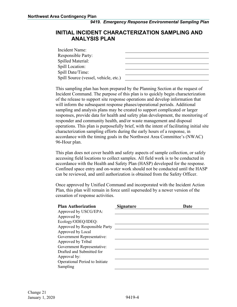#### <span id="page-6-0"></span>**INITIAL INCIDENT CHARACTERIZATION SAMPLING AND ANALYSIS PLAN**

| Incident Name:                       |  |
|--------------------------------------|--|
| <b>Responsible Party:</b>            |  |
| Spilled Material:                    |  |
| Spill Location:                      |  |
| Spill Date/Time:                     |  |
| Spill Source (vessel, vehicle, etc.) |  |

This sampling plan has been prepared by the Planning Section at the request of Incident Command. The purpose of this plan is to quickly begin characterization of the release to support site response operations and develop information that will inform the subsequent response phases/operational periods. Additional sampling and analysis plans may be created to support complicated or larger responses, provide data for health and safety plan development, the monitoring of responder and community health, and/or waste management and disposal operations. This plan is purposefully brief, with the intent of facilitating initial site characterization sampling efforts during the early hours of a response, in accordance with the timing goals in the Northwest Area Committee's (NWAC) 96-Hour plan.

This plan does not cover health and safety aspects of sample collection, or safely accessing field locations to collect samples. All field work is to be conducted in accordance with the Health and Safety Plan (HASP) developed for the response. Confined space entry and on-water work should not be conducted until the HASP can be reviewed, and until authorization is obtained from the Safety Officer.

Once approved by Unified Command and incorporated with the Incident Action Plan, this plan will remain in force until superseded by a newer version of the cessation of response activities.

| <b>Plan Authorization</b>      | <b>Signature</b> | Date |
|--------------------------------|------------------|------|
| Approved by USCG/EPA:          |                  |      |
| Approved by                    |                  |      |
| Ecology/ODEQ/IDEQ:             |                  |      |
| Approved by Responsible Party  |                  |      |
| Approved by Local              |                  |      |
| Government Representative:     |                  |      |
| Approved by Tribal             |                  |      |
| Government Representative:     |                  |      |
| Drafted and Submitted for      |                  |      |
| Approval by:                   |                  |      |
| Operational Period to Initiate |                  |      |
| Sampling                       |                  |      |
|                                |                  |      |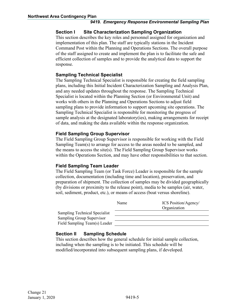#### <span id="page-7-0"></span>**Section I Site Characterization Sampling Organization**

This section describes the key roles and personnel assigned for organization and implementation of this plan. The staff are typically stations in the Incident Command Post within the Planning and Operations Sections. The overall purpose of the staff assigned to create and implement the plan is to facilitate the safe and efficient collection of samples and to provide the analytical data to support the response.

#### <span id="page-7-1"></span>**Sampling Technical Specialist**

The Sampling Technical Specialist is responsible for creating the field sampling plans, including this Initial Incident Characterization Sampling and Analysis Plan, and any needed updates throughout the response. The Sampling Technical Specialist is located within the Planning Section (or Environmental Unit) and works with others in the Planning and Operations Sections to adjust field sampling plans to provide information to support upcoming site operations. The Sampling Technical Specialist is responsible for monitoring the progress of sample analysis at the designated laboratory(ies), making arrangements for receipt of data, and making the data available within the response organization.

#### <span id="page-7-2"></span>**Field Sampling Group Supervisor**

The Field Sampling Group Supervisor is responsible for working with the Field Sampling Team(s) to arrange for access to the areas needed to be sampled, and the means to access the site(s). The Field Sampling Group Supervisor works within the Operations Section, and may have other responsibilities to that section.

#### <span id="page-7-3"></span>**Field Sampling Team Leader**

The Field Sampling Team (or Task Force) Leader is responsible for the sample collection, documentation (including time and location), preservation, and preparation of shipment. The collection of samples may be divided geographically (by divisions or proximity to the release point), media to be samples (air, water, soil, sediment, product, etc.), or means of access (boat versus shoreline).

|                                      | Name | <b>ICS</b> Position/Agency/ |
|--------------------------------------|------|-----------------------------|
|                                      |      | Organization                |
| <b>Sampling Technical Specialist</b> |      |                             |
| Sampling Group Supervisor            |      |                             |
| Field Sampling Team(s) Leader        |      |                             |

#### <span id="page-7-4"></span>**Section II Sampling Schedule**

This section describes how the general schedule for initial sample collection, including when the sampling is to be initiated. This schedule will be modified/incorporated into subsequent sampling plans, if developed.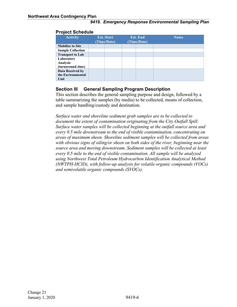| TYJYYL YYHYWHY                                     |                                  |                                |              |
|----------------------------------------------------|----------------------------------|--------------------------------|--------------|
| <b>Activity</b>                                    | <b>Est. Start</b><br>(Time/Date) | <b>Est. End</b><br>(Time/Date) | <b>Notes</b> |
| <b>Mobilize to Site</b>                            |                                  |                                |              |
| <b>Sample Collection</b>                           |                                  |                                |              |
| <b>Transport to Lab</b>                            |                                  |                                |              |
| Laboratory<br><b>Analysis</b><br>(turnaround time) |                                  |                                |              |
| Data Received by<br>the Environmental<br>Unit      |                                  |                                |              |

#### <span id="page-8-0"></span>**Project Schedule**

#### <span id="page-8-1"></span>**Section III General Sampling Program Description**

This section describes the general sampling purpose and design, followed by a table summarizing the samples (by media) to be collected, means of collection, and sample handling/custody and destination.

*Surface water and shoreline sediment grab samples are to be collected to document the extent of contamination originating from the City Outfall Spill. Surface water samples will be collected beginning at the outfall source area and every 0.5 mile downstream to the end of visible contamination, concentrating on areas of maximum sheen. Shoreline sediment samples will be collected from areas with obvious signs of oiling/or sheen on both sides of the river, beginning near the source area and moving downstream. Sediment samples will be collected at least every 0.5 mile to the end of visible contamination. All sample will be analyzed using Northwest Total Petroleum Hydrocarbon Identification Analytical Method (NWTPH-HCID), with follow-up analysis for volatile organic compounds (VOCs) and semivolatile organic compounds (SVOCs).*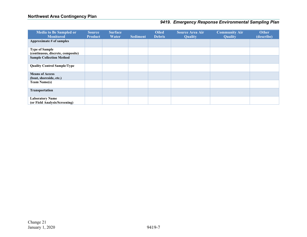| <b>Media to Be Sampled or</b><br><b>Monitored</b>          | <b>Source</b><br><b>Product</b> | <b>Surface</b><br>Water | <b>Sediment</b> | <b>Oiled</b><br><b>Debris</b> | <b>Source Area Air</b><br><b>Quality</b> | <b>Community Air</b><br><b>Quality</b> | <b>Other</b><br>(describe) |
|------------------------------------------------------------|---------------------------------|-------------------------|-----------------|-------------------------------|------------------------------------------|----------------------------------------|----------------------------|
| Approximate # of samples                                   |                                 |                         |                 |                               |                                          |                                        |                            |
| <b>Type of Sample</b><br>(continuous, discrete, composite) |                                 |                         |                 |                               |                                          |                                        |                            |
| <b>Sample Collection Method</b>                            |                                 |                         |                 |                               |                                          |                                        |                            |
| <b>Quality Control Sample/Type</b>                         |                                 |                         |                 |                               |                                          |                                        |                            |
| <b>Means of Access</b><br>(boat, shoreside, etc.)          |                                 |                         |                 |                               |                                          |                                        |                            |
| <b>Team Name(s)</b>                                        |                                 |                         |                 |                               |                                          |                                        |                            |
| Transportation                                             |                                 |                         |                 |                               |                                          |                                        |                            |
| <b>Laboratory Name</b><br>(or Field Analysis/Screening)    |                                 |                         |                 |                               |                                          |                                        |                            |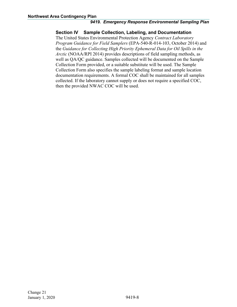#### <span id="page-10-0"></span>**Section IV Sample Collection, Labeling, and Documentation**

The United States Environmental Protection Agency *Contract Laboratory Program Guidance for Field Samplers* (EPA-540-R-014-103, October 2014) and the *Guidance for Collecting High Priority Ephemeral Data for Oil Spills in the Arctic* (NOAA/RPI 2014) provides descriptions of field sampling methods, as well as QA/QC guidance. Samples collected will be documented on the Sample Collection Form provided, or a suitable substitute will be used. The Sample Collection Form also specifies the sample labeling format and sample location documentation requirements. A formal COC shall be maintained for all samples collected. If the laboratory cannot supply or does not require a specified COC, then the provided NWAC COC will be used.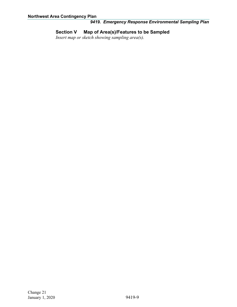#### <span id="page-11-0"></span>**Section V Map of Area(s)/Features to be Sampled**

*Insert map or sketch showing sampling area(s).*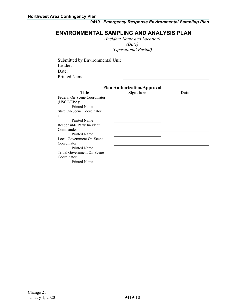#### <span id="page-12-0"></span>**ENVIRONMENTAL SAMPLING AND ANALYSIS PLAN**

*(Incident Name and Location) (Date) (Operational Period)*

Submitted by Environmental Unit Leader: Date: Printed Name: **Plan Authorization/Approval Title Signature Date** Federal On-Scene Coordinator (USCG/EPA): Printed Name State On-Scene Coordinator

: Printed Name Responsible Party Incident Commander Printed Name Local Government On-Scene Coordinator Printed Name Tribal Government On-Scene Coordinator Printed Name

#### Change 21 January 1, 2020 9419-10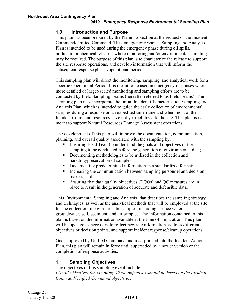#### <span id="page-13-0"></span>**1.0 Introduction and Purpose**

This plan has been prepared by the Planning Section at the request of the Incident Command/Unified Command. This emergency response Sampling and Analysis Plan is intended to be used during the emergency phase during oil spills, pollutant, or chemical releases, where monitoring and/or environmental sampling may be required. The purpose of this plan is to characterize the release to support the site response operations, and develop information that will inform the subsequent response phases/operational periods.

This sampling plan will direct the monitoring, sampling, and analytical work for a specific Operational Period. It is meant to be used in emergency responses where more detailed or larger-scaled monitoring and sampling efforts are to be conducted by Field Sampling Teams (hereafter referred to as Field Teams). This sampling plan may incorporate the Initial Incident Characterization Sampling and Analysis Plan, which is intended to guide the early collection of environmental samples during a response on an expedited timeframe and when most of the Incident Command resources have not yet mobilized to the site. This plan is not meant to support Natural Resources Damage Assessment operations.

The development of this plan will improve the documentation, communication, planning, and overall quality associated with the sampling by:

- Ensuring Field Team(s) understand the goals and objectives of the sampling to be conducted before the generation of environmental data;
- Documenting methodologies to be utilized in the collection and handling/preservation of samples;
- Documenting predetermined information in a standardized format;
- **Increasing the communication between sampling personnel and decision** makers; and
- Assuring that data quality objectives (DQOs) and QC measures are in place to result in the generation of accurate and defensible data.

This Environmental Sampling and Analysis Plan describes the sampling strategy and techniques, as well as the analytical methods that will be employed at the site for the collection of environmental samples, including surface water, groundwater, soil, sediment, and air samples. The information contained in this plan is based on the information available at the time of preparation. This plan will be updated as necessary to reflect new site information, address different objectives or decision points, and support incident response/cleanup operations.

Once approved by Unified Command and incorporated into the Incident Action Plan, this plan will remain in force until superseded by a newer version or the completion of response activities.

#### <span id="page-13-1"></span>**1.1 Sampling Objectives**

The objectives of this sampling event include: List all objectives for sampling. These objectives should be based on the Incident *Command/Unified Command objectives.*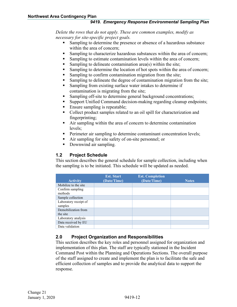*Delete the rows that do not apply. These are common examples, modify as necessary for site-specific project goals.*

- Sampling to determine the presence or absence of a hazardous substance within the area of concern;
- Sampling to characterize hazardous substances within the area of concern;
- Sampling to estimate contamination levels within the area of concern;
- Sampling to delineate contamination area(s) within the site;
- Sampling to determine the location of hot spots within the area of concern;
- Sampling to confirm contamination migration from the site;
- Sampling to delineate the degree of contamination migration from the site;
- Sampling from existing surface water intakes to determine if contamination is migrating from the site;
- Sampling off-site to determine general background concentrations;
- Support Unified Command decision-making regarding cleanup endpoints;
- Ensure sampling is repeatable;
- Collect product samples related to an oil spill for characterization and fingerprinting;
- Air sampling within the area of concern to determine contamination levels;
- **Perimeter air sampling to determine contaminant concentration levels;**
- Air sampling for site safety of on-site personnel; or
- Downwind air sampling.

#### <span id="page-14-0"></span>**1.2 Project Schedule**

This section describes the general schedule for sample collection, including when the sampling is to be initiated. This schedule will be updated as needed.

| <b>Activity</b>                  | <b>Est. Start</b><br>(Date/Time) | <b>Est. Completion</b><br>(Date/Time) | <b>Notes</b> |
|----------------------------------|----------------------------------|---------------------------------------|--------------|
| Mobilize to the site.            |                                  |                                       |              |
| Confirm sampling<br>methods      |                                  |                                       |              |
| Sample collection                |                                  |                                       |              |
| Laboratory receipt of<br>samples |                                  |                                       |              |
| Demobilization from<br>the site  |                                  |                                       |              |
| Laboratory analysis              |                                  |                                       |              |
| Data received by EU              |                                  |                                       |              |
| Data validation                  |                                  |                                       |              |

#### <span id="page-14-1"></span>**2.0 Project Organization and Responsibilities**

This section describes the key roles and personnel assigned for organization and implementation of this plan. The staff are typically stationed in the Incident Command Post within the Planning and Operations Sections. The overall purpose of the staff assigned to create and implement the plan is to facilitate the safe and efficient collection of samples and to provide the analytical data to support the response.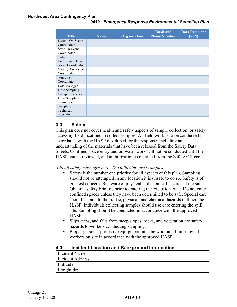| <b>Title</b>          | <b>Name</b> | Organization | <b>Email and</b><br><b>Phone Number</b> | <b>Data Recipient</b><br>(Y/N) |
|-----------------------|-------------|--------------|-----------------------------------------|--------------------------------|
| Federal On-Scene      |             |              |                                         |                                |
| Coordinator           |             |              |                                         |                                |
| State On-Scene        |             |              |                                         |                                |
| Coordinator           |             |              |                                         |                                |
| Tribal                |             |              |                                         |                                |
| Government On-        |             |              |                                         |                                |
| Scene Coordinator     |             |              |                                         |                                |
| Quality Assurance     |             |              |                                         |                                |
| Coordinator           |             |              |                                         |                                |
| Analytical            |             |              |                                         |                                |
| Coordinator           |             |              |                                         |                                |
| Data Manager          |             |              |                                         |                                |
| Field Sampling        |             |              |                                         |                                |
| Group Supervisor      |             |              |                                         |                                |
| <b>Field Sampling</b> |             |              |                                         |                                |
| Team Lead             |             |              |                                         |                                |
| Sampling              |             |              |                                         |                                |
| Technical             |             |              |                                         |                                |
| Specialist            |             |              |                                         |                                |

#### <span id="page-15-0"></span>**3.0 Safety**

This plan does not cover health and safety aspects of sample collection, or safely accessing field locations to collect samples. All field work is to be conducted in accordance with the HASP developed for the response, including an understanding of the materials that have been released from the Safety Data Sheets. Confined space entry and on-water work will not be conducted until the HASP can be reviewed, and authorization is obtained from the Safety Officer.

*Add all safety messages here. The following are examples:*

- Safety is the number one priority for all aspects of this plan. Sampling should not be attempted in any location it is unsafe to do so. Safety is of greatest concern. Be aware of physical and chemical hazards at the site. Obtain a safety briefing prior to entering the exclusion zone. Do not enter confined spaces unless they have been determined to be safe. Special care should be paid to the traffic, physical, and chemical hazards outlined the HASP. Individuals collecting samples should use care entering the spill site. Sampling should be conducted in accordance with the approved HASP.
- Slips, trips, and falls from steep slopes, rocks, and vegetation are safety hazards to workers conducting sampling.
- Proper personal protective equipment must be worn at all times by all workers on site in accordance with the approved HASP.

#### <span id="page-15-1"></span>**4.0 Incident Location and Background Information**

| I Incident Name:  |  |
|-------------------|--|
| Incident Address: |  |
| Latitude:         |  |
| Longitude:        |  |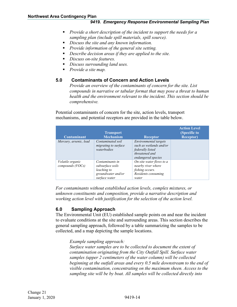- *Provide a short description of the incident to support the needs for a sampling plan (include spill materials, spill source).*
- *Discuss the site and any known information.*
- *Provide information of the general site setting.*
- *Describe decision areas if they are applied to the site.*
- *Discuss on-site features.*
- *Discuss surrounding land uses.*
- *Provide a site map.*

#### <span id="page-16-0"></span>**5.0 Contaminants of Concern and Action Levels**

*Provide an overview of the contaminants of concern for the site. List compounds in narrative or tabular format that may pose a threat to human health and the environment relevant to the incident. This section should be comprehensive.*

Potential contaminants of concern for the site, action levels, transport mechanisms, and potential receptors are provided in the table below.

| <b>Contaminant</b>                          | <b>Transport</b><br><b>Mechanism</b>                                                      | <b>Receptor</b>                                                                                                     | <b>Action Level</b><br>(Specific to<br><b>Receptor</b> ) |
|---------------------------------------------|-------------------------------------------------------------------------------------------|---------------------------------------------------------------------------------------------------------------------|----------------------------------------------------------|
| Mercury, arsenic, lead                      | Contaminated soil<br>migrating to surface<br>waterbodies                                  | <b>Environmental</b> targets<br>such as wetlands and/or<br>federally listed<br>threatened and<br>endangered species |                                                          |
| <i>Volatile organic</i><br>compounds (VOCs) | Contaminants in<br>subsurface soils<br>leaching to<br>groundwater and/or<br>surface water | On-site water flows to a<br>nearby river where<br>fishing occurs.<br>Residents consuming<br>water                   |                                                          |

*For contaminants without established action levels, complex mixtures, or unknown constituents and composition, provide a narrative description and working action level with justification for the selection of the action level.*

#### <span id="page-16-1"></span>**6.0 Sampling Approach**

The Environmental Unit (EU) established sample points on and near the incident to evaluate conditions at the site and surrounding areas. This section describes the general sampling approach, followed by a table summarizing the samples to be collected, and a map depicting the sample locations.

#### *Example sampling approach:*

*Surface water samples are to be collected to document the extent of contamination originating from the City Outfall Spill. Surface water samples (upper 2 centimeters of the water column) will be collected beginning at the outfall areas and every 0.5 mile downstream to the end of visible contamination, concentrating on the maximum sheen. Access to the sampling site will be by boat. All samples will be collected directly into*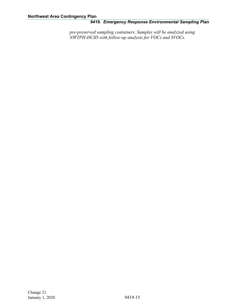*pre-preserved sampling containers. Samples will be analyzed using NWTPH-HCID with follow-up analysis for VOCs and SVOCs.*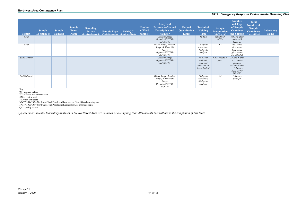| <b>Matrix</b> | <b>Sample</b><br><b>Location(s)</b> | <b>Sample</b><br>Name(s) | <b>Sample</b><br><b>Team</b><br><b>Name</b> | <b>Sampling</b><br><b>Pattern</b><br>(Random/Targeted) | <b>Sample Type</b><br>(Grab/Composite) | <b>Field QC</b><br>(Duplicate/Blank) | <b>Number</b><br>of Field<br><b>Samples</b> | <b>Analytical</b><br><b>Parameter/Method</b><br><b>Description and</b><br><b>Number</b>        | <b>Method</b><br>Quantitation<br><b>Limit</b> | <b>Technical</b><br><b>Holding</b><br><b>Time</b>                       | <b>Sample</b><br><b>Preservation</b><br>(all $4^{\circ}C \pm 2^{\circ}C$ ) | <b>Number</b><br>and Type<br>of Sample<br>Container<br>per Sample                                                | <b>Total</b><br><b>Number of</b><br><b>Sample</b><br><b>Containers</b><br>(Lab and Field) | <b>Laboratory</b><br><b>Name</b> |
|---------------|-------------------------------------|--------------------------|---------------------------------------------|--------------------------------------------------------|----------------------------------------|--------------------------------------|---------------------------------------------|------------------------------------------------------------------------------------------------|-----------------------------------------------|-------------------------------------------------------------------------|----------------------------------------------------------------------------|------------------------------------------------------------------------------------------------------------------|-------------------------------------------------------------------------------------------|----------------------------------|
| Water         |                                     |                          |                                             |                                                        |                                        |                                      |                                             | Gasoline Range<br>Organics/NWTPH-<br>Gx/GC-FID                                                 |                                               | $14 \, days$                                                            | $pH \leq 2$ with<br>HNO <sub>3</sub>                                       | $3x40$ mL glass<br>amber with<br>Septa lid                                                                       |                                                                                           |                                  |
| Water         |                                     |                          |                                             |                                                        |                                        |                                      |                                             | Diesel Range, Residual<br>Range, & Motor Oil<br>Range<br>Organics/NWTPH-<br>$Dx/GC\text{-}FID$ |                                               | $14$ days to<br>extraction,<br>40 days to<br>analysis                   | NA                                                                         | $2x32$ ounce<br>glass amber<br>6x32 ounce<br>glass amber<br>for MS/MSD                                           |                                                                                           |                                  |
| Soil/Sediment |                                     |                          |                                             |                                                        |                                        |                                      |                                             | Gasoline Range<br>Organics/NWTPH-<br>Gx/GC-FID                                                 |                                               | To the lab<br>within 48<br>hours of<br>collection or<br>freeze in field | NA or Freeze in<br>field                                                   | $3xCore-N-One$<br>$+1x2$ ounce<br>glass jar<br>$9xCore-N-One$<br>$+$ 1x2 ounce<br>glass jar for<br><i>MS/MSD</i> |                                                                                           |                                  |
| Soil/Sediment |                                     |                          |                                             |                                                        |                                        |                                      |                                             | Diesel Range, Residual<br>Range, & Motor Oil<br>Range<br>Organics/NWTPH-<br>$Dx/GC\text{-}FID$ |                                               | 14 days to<br>extraction,<br>40 days to<br>analysis                     | NA                                                                         | $1x8$ ounce<br>glass jar                                                                                         |                                                                                           |                                  |

Key:

℃ = degrees Celsius FID = Flame ionization detector HNO3 = nitric acid NA = not applicable NWTPH-Dx/GC = Northwest Total Petroleum Hydrocarbon Diesel/Gas chromatograph NWTPH-Gx/GC = Northwest Total Petroleum Hydrocarbon/Gas chromatograph QC = quality control

*Typical environmental laboratory analyses in the Northwest Area are included as a Sampling Plan Attachments that will aid in the completion of this table.*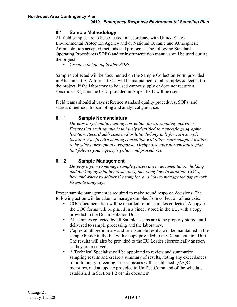#### <span id="page-19-0"></span>**6.1 Sample Methodology**

All field samples are to be collected in accordance with United States Environmental Protection Agency and/or National Oceanic and Atmospheric Administration accepted methods and protocols. The following Standard Operating Procedures (SOPs) and/or instrumentation manuals will be used during the project.

*Create a list of applicable SOPs.*

Samples collected will be documented on the Sample Collection Form provided in Attachment A. A formal COC will be maintained for all samples collected for the project. If the laboratory to be used cannot supply or does not require a specific COC, then the COC provided in Appendix B will be used.

Field teams should always reference standard quality procedures, SOPs, and standard methods for sampling and analytical guidance.

#### **6.1.1 Sample Nomenclature**

*Develop a systematic naming convention for all sampling activities. Ensure that each sample is uniquely identified to a specific geographic location. Record addresses and/or latitude/longitude for each sample location. An effective naming convention will allow more sample locations to be added throughout a response. Design a sample nomenclature plan that follows your agency's policy and procedures.*

#### **6.1.2 Sample Management**

*Develop a plan to manage sample preservation, documentation, holding and packaging/shipping of samples, including how to maintain COCs, how and where to deliver the samples, and how to manage the paperwork. Example language:*

Proper sample management is required to make sound response decisions. The following action will be taken to manage samples from collection of analysis:

- COC documentation will be recorded for all samples collected. A copy of the COC forms will be placed in a binder stored in the EU, with a copy provided to the Documentation Unit.
- All samples collected by all Sample Teams are to be properly stored until delivered to sample processing and the laboratory.
- Copies of all preliminary and final sample results will be maintained in the sample binder in the EU with a copy provided to the Documentation Unit. The results will also be provided to the EU Leader electronically as soon as they are received.
- A Technical Specialist will be appointed to review and summarize sampling results and create a summary of results, noting any exceedances of preliminary screening criteria, issues with established QA/QC measures, and an update provided to Unified Command of the schedule established in Section 1.2 of this document.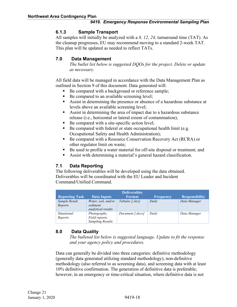#### **6.1.3 Sample Transport**

All samples will initially be analyzed with a *8, 12, 24,* turnaround time (TAT). As the cleanup progresses, EU may recommend moving to a standard 2-week TAT. This plan will be updated as needed to reflect TATs.

#### <span id="page-20-0"></span>**7.0 Data Management**

*The bullet list below is suggested DQOs for the project. Delete or update as necessary.*

All field data will be managed in accordance with the Data Management Plan as outlined in Section 9 of this document. Data generated will:

- Be compared with a background or reference sample;
- Be compared to an available screening level;
- Assist in determining the presence or absence of a hazardous substance at levels above an available screening level;
- Assist in determining the area of impact due to a hazardous substance release (i.e., horizontal or lateral extent of contamination);
- $\blacksquare$  Be compared with a site-specific action level;
- Be compared with federal or state occupational health limit (e.g. Occupational Safety and Health Administration);
- Be compared with a Resource Conservation Recovery Act (RCRA) or other regulator limit on waste;
- Be used to profile a water material for off-site disposal or treatment; and
- Assist with determining a material's general hazard classification.

#### <span id="page-20-1"></span>**7.1 Data Reporting**

The following deliverables will be developed using the data obtained. Deliverables will be coordinated with the EU Leader and Incident Command/Unified Command.

| <b>Deliverables</b>   |                         |                  |                  |                       |  |  |  |  |
|-----------------------|-------------------------|------------------|------------------|-----------------------|--|--|--|--|
| <b>Reporting Task</b> | <b>Data Inputs</b>      | <b>Format</b>    | <b>Frequency</b> | <b>Responsibility</b> |  |  |  |  |
| Sample Result         | Water, soil, and/or     | Tabular [xlsx]   | Daily            | Data Manager          |  |  |  |  |
| Reports               | sediment                |                  |                  |                       |  |  |  |  |
|                       | analytical results      |                  |                  |                       |  |  |  |  |
| Situational           | Photographs,            | Document [.docx] | Daily            | Data Manager          |  |  |  |  |
| Reports               | Field reports,          |                  |                  |                       |  |  |  |  |
|                       | <b>Sampling Results</b> |                  |                  |                       |  |  |  |  |

#### <span id="page-20-2"></span>**8.0 Data Quality**

*The bulleted list below is suggested language. Update to fit the response and your agency policy and procedures.*

Data can generally be divided into three categories: definitive methodology (generally data generated utilizing standard methodology), non-definitive methodology (also referred to as screening data), and screening data with at least 10% definitive confirmation. The generation of definitive data is preferable; however, in an emergency or time-critical situation, where definitive data is not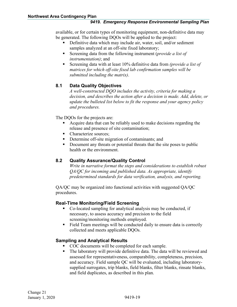available, or for certain types of monitoring equipment, non-definitive data may be generated. The following DQOs will be applied to the project:

- Definitive data which may include air, water, soil, and/or sediment samples analyzed at an off-site fixed laboratory;
- Screening data from the following instrument (*provide a list of instrumentation)*; and
- Screening data with at least 10% definitive data from *(provide a list of matrices for which off-site fixed lab confirmation samples will be submitted including the matrix)*.

#### <span id="page-21-0"></span>**8.1 Data Quality Objectives**

*A well-constructed DQO includes the activity, criteria for making a decision, and describes the action after a decision is made. Add, delete, or update the bulleted list below to fit the response and your agency policy and procedures.*

The DQOs for the projects are:

- Acquire data that can be reliably used to make decisions regarding the release and presence of site contamination;
- Characterize sources;
- Determine off-site migration of contaminants; and
- Document any threats or potential threats that the site poses to public health or the environment.

#### <span id="page-21-1"></span>**8.2 Quality Assurance/Quality Control**

*Write in narrative format the steps and considerations to establish robust QA/QC for incoming and published data. As appropriate, identify predetermined standards for data verification, analysis, and reporting.*

QA/QC may be organized into functional activities with suggested QA/QC procedures.

#### **Real-Time Monitoring/Field Screening**

- Co-located sampling for analytical analysis may be conducted, if necessary, to assess accuracy and precision to the field screening/monitoring methods employed.
- Field Team meetings will be conducted daily to ensure data is correctly collected and meets applicable DQOs.

#### **Sampling and Analytical Results**

- COC documents will be completed for each sample.
- The laboratory will provide definitive data. The data will be reviewed and assessed for representativeness, comparability, completeness, precision, and accuracy. Field sample QC will be evaluated, including laboratorysupplied surrogates, trip blanks, field blanks, filter blanks, rinsate blanks, and field duplicates, as described in this plan.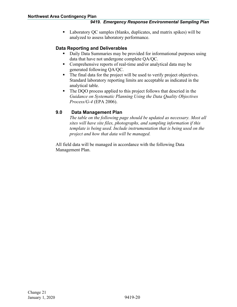■ Laboratory QC samples (blanks, duplicates, and matrix spikes) will be analyzed to assess laboratory performance.

#### **Data Reporting and Deliverables**

- Daily Data Summaries may be provided for informational purposes using data that have not undergone complete QA/QC.
- Comprehensive reports of real-time and/or analytical data may be generated following QA/QC.
- The final data for the project will be used to verify project objectives. Standard laboratory reporting limits are acceptable as indicated in the analytical table.
- The DQO process applied to this project follows that descried in the *Guidance on Systematic Planning Using the Data Quality Objectives Process/G-4* (EPA 2006).

#### <span id="page-22-0"></span>**9.0 Data Management Plan**

*The table on the following page should be updated as necessary. Most all sites will have site files, photographs, and sampling information if this template is being used. Include instrumentation that is being used on the project and how that data will be managed.*

All field data will be managed in accordance with the following Data Management Plan.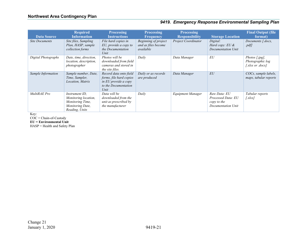| <b>Data Source</b>    | <b>Required</b><br><b>Information</b>                                                            | <b>Processing</b><br><b>Instructions</b>                                                                  | <b>Processing</b><br><b>Frequency</b>                    | <b>Processing</b><br><b>Responsibility</b> | <b>Storage Location</b>                                                 | <b>Final Output (file</b><br>format)                           |
|-----------------------|--------------------------------------------------------------------------------------------------|-----------------------------------------------------------------------------------------------------------|----------------------------------------------------------|--------------------------------------------|-------------------------------------------------------------------------|----------------------------------------------------------------|
| <b>Site Documents</b> | Site files, Sampling<br>Plan, HASP, sample<br>collection forms                                   | File hard copies in<br>EU, provide a copy to<br>the Documentation<br>Unit                                 | Beginning of project<br>and as files become<br>available | <b>Project Coordinator</b>                 | Digital:<br>Hard copy: $EU \&$<br>Documentation Unit                    | Documents [.docx,<br>.pdf                                      |
| Digital Photographs   | Date, time, direction,<br><i>location, description,</i><br>photographer                          | Photos will be<br>downloaded from field<br>cameras and stored in<br>the site files.                       | Daily                                                    | Data Manager                               | EU                                                                      | Photos $[.jpg]$ ,<br>Photographic log<br>[ $x$ lsx or $docx$ ] |
| Sample Information    | Sample number, Date,<br>Time, Sampler,<br>Location, Matrix                                       | Record data onto field<br>forms, file hard copies<br>in EU provide a copy<br>to the Documentation<br>Unit | Daily or as records<br>are produced                      | Data Manager                               | EU                                                                      | COCs, sample labels,<br>maps, tabular reports                  |
| MultiRAE Pro          | Instrument ID.<br>Monitoring location,<br>Monitoring Time,<br>Monitoring Date,<br>Reading, Units | Data will be<br>downloaded from the<br>unit as prescribed by<br>the manufacturer                          | Daily                                                    | <b>Equipment Manager</b>                   | Raw Data: EU<br>Processed Data: EU<br>copy to the<br>Documentation Unit | Tabular reports<br>[xlsx]                                      |

Key:

COC = Chain-of-Custody

**EU = Environmental Unit**

HASP = Health and Safety Plan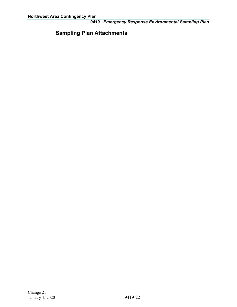### <span id="page-24-0"></span>**Sampling Plan Attachments**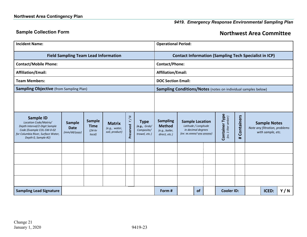### **Sample Collection Form Notified Area Committee**

<span id="page-25-0"></span>

| <b>Incident Name:</b>                                                                                                                                                | <b>Operational Period:</b>                   |                                                     |                                                  |                                           |                                                            |                                                                     |                                                                                                       |    |  |                   |                 |  |                                                                           |     |  |  |
|----------------------------------------------------------------------------------------------------------------------------------------------------------------------|----------------------------------------------|-----------------------------------------------------|--------------------------------------------------|-------------------------------------------|------------------------------------------------------------|---------------------------------------------------------------------|-------------------------------------------------------------------------------------------------------|----|--|-------------------|-----------------|--|---------------------------------------------------------------------------|-----|--|--|
| <b>Field Sampling Team Lead Information</b>                                                                                                                          |                                              |                                                     |                                                  |                                           |                                                            |                                                                     | <b>Contact Information (Sampling Tech Specialist in ICP)</b>                                          |    |  |                   |                 |  |                                                                           |     |  |  |
| <b>Contact/Mobile Phone:</b>                                                                                                                                         | <b>Contact/Phone:</b>                        |                                                     |                                                  |                                           |                                                            |                                                                     |                                                                                                       |    |  |                   |                 |  |                                                                           |     |  |  |
| <b>Affiliation/Email:</b>                                                                                                                                            | <b>Affiliation/Email:</b>                    |                                                     |                                                  |                                           |                                                            |                                                                     |                                                                                                       |    |  |                   |                 |  |                                                                           |     |  |  |
| <b>Team Members:</b>                                                                                                                                                 |                                              |                                                     |                                                  |                                           |                                                            | <b>DOC Section Email:</b>                                           |                                                                                                       |    |  |                   |                 |  |                                                                           |     |  |  |
| <b>Sampling Objective (from Sampling Plan)</b>                                                                                                                       |                                              |                                                     |                                                  |                                           |                                                            | Sampling Conditions/Notes (notes on individual samples below)       |                                                                                                       |    |  |                   |                 |  |                                                                           |     |  |  |
|                                                                                                                                                                      |                                              |                                                     |                                                  |                                           |                                                            |                                                                     |                                                                                                       |    |  |                   |                 |  |                                                                           |     |  |  |
| <b>Sample ID</b><br>Location Code/Matrix/<br>Depth Interval/2-Digit Sample<br>Code (Example COL-SW-0-02<br>for Columbia River, Surface Water,<br>Depth 0, Sample #2) | <b>Sample</b><br><b>Date</b><br>(mm/dd/yyyy) | <b>Sample</b><br><b>Time</b><br>$(24-hr)$<br>local) | <b>Matrix</b><br>(e.g., water,<br>soil, product) | $\,$ $\,$<br>$\searrow$<br>erved<br>Prese | <b>Type</b><br>(e.g., Grab/<br>Composite/<br>trowel, etc.) | <b>Sampling</b><br><b>Method</b><br>(e.g., bailer,<br>direct, etc.) | <b>Sample Location</b><br>Latitude / Longitude<br>in decimal degrees<br>$(ex: xx.xxxx/ - yyy.yyyyyy)$ |    |  |                   | Containers<br># |  | <b>Sample Notes</b><br>Note any filtration, problems<br>with sample, etc. |     |  |  |
|                                                                                                                                                                      |                                              |                                                     |                                                  |                                           |                                                            |                                                                     |                                                                                                       |    |  |                   |                 |  |                                                                           |     |  |  |
|                                                                                                                                                                      |                                              |                                                     |                                                  |                                           |                                                            |                                                                     |                                                                                                       |    |  |                   |                 |  |                                                                           |     |  |  |
|                                                                                                                                                                      |                                              |                                                     |                                                  |                                           |                                                            |                                                                     |                                                                                                       |    |  |                   |                 |  |                                                                           |     |  |  |
|                                                                                                                                                                      |                                              |                                                     |                                                  |                                           |                                                            |                                                                     |                                                                                                       |    |  |                   |                 |  |                                                                           |     |  |  |
| <b>Sampling Lead Signature</b>                                                                                                                                       |                                              |                                                     |                                                  |                                           |                                                            |                                                                     |                                                                                                       | of |  | <b>Cooler ID:</b> |                 |  | ICED:                                                                     | Y/N |  |  |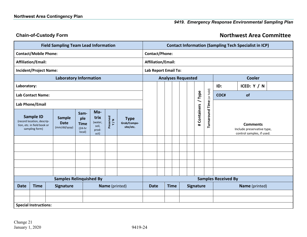#### **Chain-of-Custody Form Northwest Area Committee**

<span id="page-26-0"></span>

| <b>Field Sampling Team Lead Information</b> |                                                                                                 |  |                                              |                                                   | <b>Contact Information (Sampling Tech Specialist in ICP)</b> |                                                |                                         |  |                            |  |  |               |  |              |                           |                                                                            |  |  |  |
|---------------------------------------------|-------------------------------------------------------------------------------------------------|--|----------------------------------------------|---------------------------------------------------|--------------------------------------------------------------|------------------------------------------------|-----------------------------------------|--|----------------------------|--|--|---------------|--|--------------|---------------------------|----------------------------------------------------------------------------|--|--|--|
| <b>Contact/Mobile Phone:</b>                |                                                                                                 |  |                                              |                                                   |                                                              | <b>Contact/Phone:</b>                          |                                         |  |                            |  |  |               |  |              |                           |                                                                            |  |  |  |
| <b>Affiliation/Email:</b>                   |                                                                                                 |  |                                              |                                                   | <b>Affiliation/Email:</b>                                    |                                                |                                         |  |                            |  |  |               |  |              |                           |                                                                            |  |  |  |
| <b>Incident/Project Name:</b>               |                                                                                                 |  |                                              |                                                   |                                                              | Lab Report Email To:                           |                                         |  |                            |  |  |               |  |              |                           |                                                                            |  |  |  |
| <b>Laboratory Information</b>               |                                                                                                 |  |                                              |                                                   | <b>Analyses Requested</b>                                    |                                                |                                         |  |                            |  |  | <b>Cooler</b> |  |              |                           |                                                                            |  |  |  |
| Laboratory:                                 |                                                                                                 |  |                                              |                                                   |                                                              |                                                |                                         |  |                            |  |  |               |  |              | ID:                       | ICED: $Y / N$                                                              |  |  |  |
| <b>Lab Contact Name:</b>                    |                                                                                                 |  |                                              |                                                   |                                                              |                                                |                                         |  |                            |  |  | / Type        |  | COC#         | of                        |                                                                            |  |  |  |
| Lab Phone/Email                             |                                                                                                 |  |                                              |                                                   |                                                              |                                                |                                         |  |                            |  |  |               |  |              |                           |                                                                            |  |  |  |
|                                             | <b>Sample ID</b><br>(record location, descrip-<br>tion, etc. in field book or<br>sampling form) |  | <b>Sample</b><br><b>Date</b><br>(mm/dd/yyyy) | Sam-<br>ple<br><b>Time</b><br>$(24-hr)$<br>local) | Ma-<br>trix<br>(water,<br>soil,<br>prod-<br>uct)             | Preserved<br>Y/N                               | <b>Type</b><br>Grab/Compo-<br>site/etc. |  |                            |  |  |               |  | # Containers | Turnaround Time (or hold) | <b>Comments</b><br>Include preservative type,<br>control samples, if used. |  |  |  |
|                                             |                                                                                                 |  |                                              |                                                   |                                                              |                                                |                                         |  |                            |  |  |               |  |              |                           |                                                                            |  |  |  |
|                                             |                                                                                                 |  |                                              |                                                   |                                                              |                                                |                                         |  |                            |  |  |               |  |              |                           |                                                                            |  |  |  |
|                                             |                                                                                                 |  |                                              |                                                   |                                                              |                                                |                                         |  |                            |  |  |               |  |              |                           |                                                                            |  |  |  |
|                                             |                                                                                                 |  |                                              |                                                   |                                                              |                                                |                                         |  |                            |  |  |               |  |              |                           |                                                                            |  |  |  |
|                                             |                                                                                                 |  |                                              |                                                   |                                                              |                                                |                                         |  |                            |  |  |               |  |              |                           |                                                                            |  |  |  |
|                                             |                                                                                                 |  | <b>Samples Relinquished By</b>               |                                                   |                                                              |                                                |                                         |  | <b>Samples Received By</b> |  |  |               |  |              |                           |                                                                            |  |  |  |
| <b>Date</b>                                 | <b>Time</b>                                                                                     |  | <b>Signature</b><br>Name (printed)           |                                                   |                                                              | <b>Signature</b><br><b>Time</b><br><b>Date</b> |                                         |  | Name (printed)             |  |  |               |  |              |                           |                                                                            |  |  |  |
|                                             |                                                                                                 |  |                                              |                                                   |                                                              |                                                |                                         |  |                            |  |  |               |  |              |                           |                                                                            |  |  |  |
|                                             | <b>Special Instructions:</b>                                                                    |  |                                              |                                                   |                                                              |                                                |                                         |  |                            |  |  |               |  |              |                           |                                                                            |  |  |  |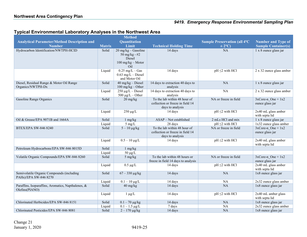#### **Typical Environmental Laboratory Analyses in the Northwest Area**

<span id="page-27-0"></span>

|                                                                      |               | <b>Method</b>                                                                  |                                                                                      |                                      |                                           |
|----------------------------------------------------------------------|---------------|--------------------------------------------------------------------------------|--------------------------------------------------------------------------------------|--------------------------------------|-------------------------------------------|
| <b>Analytical Parameter/Method Description and</b>                   |               | Quantitation                                                                   |                                                                                      | <b>Sample Preservation (all 4°C)</b> | <b>Number and Type of</b>                 |
| <b>Number</b>                                                        | <b>Matrix</b> | Limit                                                                          | <b>Technical Holding Time</b>                                                        | $\pm 2^{\circ}$ C)                   | <b>Sample Container(s)</b>                |
| Hydrocarbon Identification/NWTPH-HCID                                | Solid         | $20$ mg/kg - Gasoline<br>50 mg/kg - $#2$<br>Diesel<br>100 mg/kg - Motor<br>Oil | 14 days                                                                              | NA                                   | 1 x 8 ounce glass jar                     |
|                                                                      | Liquid        | $0.25$ mg/L $-$ Gas<br>$0.63$ mg/L - Diesel<br>and Motor Oil                   | 14 days                                                                              | $pH \leq 2$ with $\overline{HCl}$    | 2 x 32 ounce glass amber                  |
| Diesel, Residual Range & Motor Oil Range<br>Organics/NWTPH-Dx        | Solid         | $40$ mg/kg - Diesel<br>$100$ mg/kg – Other                                     | 14 days to extraction 40 days to<br>analysis                                         | NA                                   | 1 x 8 ounce glass jar                     |
|                                                                      | Liquid        | $250 \mu g/L - Diesel$<br>$500 \mu g/L - Other$                                | 14 days to extraction 40 days to<br>analysis                                         | NA                                   | 2 x 32 ounce glass amber                  |
| Gasoline Range Organics                                              | Solid         | $20 \frac{\text{mg}}{\text{kg}}$                                               | To the lab within 48 hour of<br>collection or freeze in field 14<br>days to analysis | NA or freeze in field                | $3xCore-n$ One + $1x2$<br>ounce glass jar |
|                                                                      | Liquid        | $250 \mu g/L$                                                                  | 14 days                                                                              | $pH \leq 2$ with HCl                 | 2x40 mL glass amber<br>with septa lid     |
| Oil & Grease/EPA 9071B and 1664A                                     | Solid         | $1$ mg/kg                                                                      | ASAP - Not established                                                               | 2 mLs HCl and mix                    | 1 x 8 ounce glass jar                     |
|                                                                      | Liquid        | $5 \text{ mg/L}$                                                               | 28 days                                                                              | $pH \leq 2$ with HCl                 | 1x32 ounce glass amber                    |
| <b>BTEX/EPA SW-846 8240</b>                                          | Solid         | $5-10 \mu g/kg$                                                                | To the lab within 48 hour of<br>collection or freeze in field 14<br>days to analysis | NA or freeze in field                | $3xCore-n$ One + 1x2<br>ounce glass jar   |
|                                                                      | Liquid        | $\sqrt{0.5-10 \mu g/L}$                                                        | 14 days                                                                              | $pH \leq 2$ with HCl                 | 2x40 mL glass amber<br>with septa lid     |
| Petroleum Hydrocarbons/EPA SW-846 8015D                              | Solid         | $1$ mg/kg                                                                      |                                                                                      |                                      |                                           |
|                                                                      | Liquid        | $50 \mu g/L$                                                                   |                                                                                      |                                      |                                           |
| Volatile Organic Compounds/EPA SW-846 8260                           | Solid         | 5 mg/kg                                                                        | To the lab within 48 hours or<br>freeze in field 14 days to analysis                 | NA or freeze in field                | $3xCore-n$ One + $1x2$<br>ounce glass jar |
|                                                                      | Liquid        | $0.5 \ \mu g/L$                                                                | 14 days                                                                              | $pH \leq 2$ with HCl                 | 2x40 mL glass amber<br>with septa lid     |
| Semivolatile Organic Compounds (including<br>PAHs)/EPA SW-846 8270   | Solid         | $67 - 330 \mu g/kg$                                                            | 14 days                                                                              | NA                                   | 1x8 ounce glass jar                       |
|                                                                      | Liquid        | $0.1 - 10 \mu g/L$                                                             | 14 days                                                                              | NA                                   | 2x32 ounce glass amber                    |
| Paraffins, Isoparaffins, Aromatics, Napthalenes, &<br>Olefins(PIANO) | Solid         | $40 \text{ mg/kg}$                                                             | 14 days                                                                              | NA                                   | 1x8 ounce glass jar                       |
|                                                                      | Liquid        | $1 \mu g/L$                                                                    | 14 days                                                                              | $pH \leq 2$ with HCl                 | 2x40 mL amber glass<br>with septa lid     |
| Chlorinated Herbicides/EPA SW-846 8151                               | Solid         | $0.1 - 70 \mu g/kg$                                                            | 14 days                                                                              | NA                                   | 1x8 ounce glass jar                       |
|                                                                      | Liquid        | $0.1 - 1.5 \mu g/L$                                                            | 7 days                                                                               | NA                                   | 2x32 ounce glass amber                    |
| Chlorinated Pesticides/EPA SW-846 8081                               | Solid         | $2 - 170 \mu g/kg$                                                             | 14 days                                                                              | NA                                   | 1x8 ounce glass jar                       |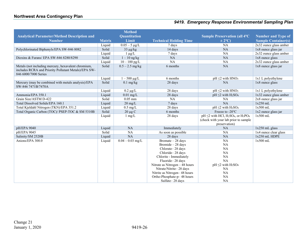|                                                                                                                                     |               | <b>Method</b>      |                                               |                                                                                                                                                   |                            |
|-------------------------------------------------------------------------------------------------------------------------------------|---------------|--------------------|-----------------------------------------------|---------------------------------------------------------------------------------------------------------------------------------------------------|----------------------------|
| <b>Analytical Parameter/Method Description and</b>                                                                                  |               | Quantitation       |                                               | <b>Sample Preservation (all 4°C)</b>                                                                                                              | <b>Number and Type of</b>  |
| <b>Number</b>                                                                                                                       | <b>Matrix</b> | Limit              | <b>Technical Holding Time</b>                 | $\pm 2^{\circ}$ C)                                                                                                                                | <b>Sample Container(s)</b> |
|                                                                                                                                     | Liquid        | $0.05 - 5 \mu g/L$ | 7 days                                        | <b>NA</b>                                                                                                                                         | 2x32 ounce glass amber     |
| Polychlorinated Biphenyls/EPA SW-846 8082                                                                                           | Solid         | $33 \mu g/kg$      | 14 days                                       | <b>NA</b>                                                                                                                                         | 1x8 ounce glass jar        |
|                                                                                                                                     | Liquid        | $1 \mu g/L$        | 7 days                                        | <b>NA</b>                                                                                                                                         | 2x32 ounce glass amber     |
| Dioxins & Furans/ EPA SW-846 8280/8290                                                                                              | Solid         | $1 - 10$ ng/kg     | NA                                            | <b>NA</b>                                                                                                                                         | 1x8 ounce glass            |
|                                                                                                                                     | Liquid        | $10 - 100$ pg/L    | NA                                            | NA                                                                                                                                                | 2x32 ounce glass amber     |
| Metals (not including mercury, hexavalent chromium,<br>includes RCRA and Priority Pollutant Metals)/EPA SW-<br>846 6000/7000 Series | Solid         | $0.5 - 2.5$ mg/kg  | 6 months                                      | <b>NA</b>                                                                                                                                         | 1x8 ounce glass jar        |
|                                                                                                                                     | Liquid        | $1 - 500 \mu g/L$  | 6 months                                      | $pH \leq 2$ with $HNO3$                                                                                                                           | 1x1 L polyethylene         |
| Mercury (may be combined with metals analysis)/EPA<br>SW-846 7471B/7470A                                                            | Solid         | $0.1$ mg/kg        | 28 days                                       | <b>NA</b>                                                                                                                                         | 1x8 ounce glass            |
|                                                                                                                                     | Liquid        | $0.2 \mu g/L$      | 28 days                                       | $pH \leq 2$ with $HNO3$                                                                                                                           | 1x1 L polyethylene         |
| Ammonia/EPA 350.1                                                                                                                   | Liquid        | $0.01$ mg/L        | 28 days                                       | $pH \leq 2$ with $H_2SO_4$                                                                                                                        | 1x32 ounce glass amber     |
| Grain Size/ASTM D-422                                                                                                               | Solid         | $0.05$ mm          | NA                                            | <b>NA</b>                                                                                                                                         | 2x8 ounce glass jar        |
| Total Dissolved Solids/EPA 160.1                                                                                                    | Liquid        | $20 \text{ mg/L}$  | 7 days                                        | <b>NA</b>                                                                                                                                         | $1x250$ mL                 |
| Total Kjeldahl Nitrogen (TKN)/EPA 351.2                                                                                             | Liquid        | $0.5$ mg/L         | 28 days                                       | $pH \leq 2$ with $H_2SO_4$                                                                                                                        | $1x500$ mL                 |
| Total Organic Carbon (TOC)/ PSEP-TOC & SM 5310B                                                                                     | Solid         | $20 \mu g C$       | 6 months                                      | Freeze to -20°C                                                                                                                                   | 1x2 ounce glass jar        |
|                                                                                                                                     | Liquid        | $1 \text{ mg/L}$   | 28 days                                       | $pH \leq 2$ with HCl, H <sub>2</sub> SO <sub>4</sub> , or H <sub>3</sub> PO <sub>4</sub><br>(check with your lab prior to sample<br>preservation) | $1x500$ mL                 |
| pH/EPA 9040                                                                                                                         | Liquid        | <b>NA</b>          | Immediately                                   | NA                                                                                                                                                | $1x250$ mL glass           |
| pH/EPA 9045                                                                                                                         | Solid         | <b>NA</b>          | As soon as possible                           | <b>NA</b>                                                                                                                                         | 1x4 ounce clear glass      |
| Salinity/SM 2520B                                                                                                                   | Liquid        | <b>NA</b>          | 28 days                                       | <b>NA</b>                                                                                                                                         | 1x250 mL HDPE              |
| Anions/EPA 300.0                                                                                                                    | Liquid        | $0.04 - 0.03$ mg/L | Bromate - 28 days                             | <b>NA</b>                                                                                                                                         | $1x500$ mL                 |
|                                                                                                                                     |               |                    | Bromide - 28 days                             | <b>NA</b>                                                                                                                                         |                            |
|                                                                                                                                     |               |                    | Chlorate-28 days                              | <b>NA</b>                                                                                                                                         |                            |
|                                                                                                                                     |               |                    | Chloride-28 days                              | <b>NA</b>                                                                                                                                         |                            |
|                                                                                                                                     |               |                    | Chlorite - Immediately                        | <b>NA</b>                                                                                                                                         |                            |
|                                                                                                                                     |               |                    | Fluoride-28 days                              | NA                                                                                                                                                |                            |
|                                                                                                                                     |               |                    | Nitrate as Nitrogen - 48 hours                | $pH \leq 2$ with $H_2SO_4$                                                                                                                        |                            |
|                                                                                                                                     |               |                    | Nitrate/Nitrite-28 days                       | <b>NA</b>                                                                                                                                         |                            |
|                                                                                                                                     |               |                    | Nitrite as Nitrogen-48 hours                  | NA                                                                                                                                                |                            |
|                                                                                                                                     |               |                    |                                               |                                                                                                                                                   |                            |
|                                                                                                                                     |               |                    | Ortho-Phosphate-p-48 hours<br>Sulfate-28 days | $\rm NA$<br><b>NA</b>                                                                                                                             |                            |